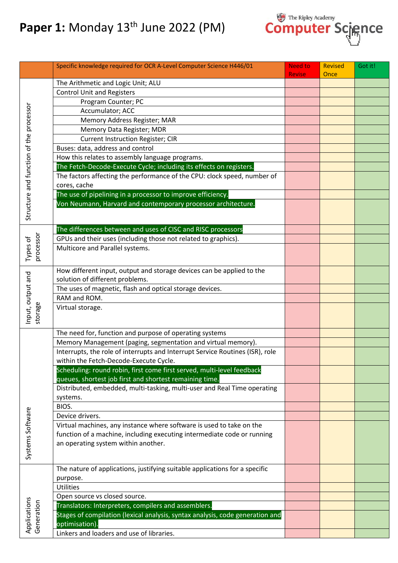## **Paper 1:** Monday 13<sup>th</sup> June 2022 (PM)



|                                         | Specific knowledge required for OCR A-Level Computer Science H446/01          | <b>Need to</b><br><b>Revise</b> | <b>Revised</b> | Got it! |
|-----------------------------------------|-------------------------------------------------------------------------------|---------------------------------|----------------|---------|
|                                         | The Arithmetic and Logic Unit; ALU                                            |                                 | Once           |         |
|                                         | <b>Control Unit and Registers</b>                                             |                                 |                |         |
|                                         | Program Counter; PC                                                           |                                 |                |         |
|                                         | Accumulator; ACC                                                              |                                 |                |         |
| Structure and function of the processor | Memory Address Register; MAR                                                  |                                 |                |         |
|                                         | Memory Data Register; MDR                                                     |                                 |                |         |
|                                         | <b>Current Instruction Register; CIR</b>                                      |                                 |                |         |
|                                         | Buses: data, address and control                                              |                                 |                |         |
|                                         | How this relates to assembly language programs.                               |                                 |                |         |
|                                         | The Fetch-Decode-Execute Cycle; including its effects on registers.           |                                 |                |         |
|                                         | The factors affecting the performance of the CPU: clock speed, number of      |                                 |                |         |
|                                         | cores, cache                                                                  |                                 |                |         |
|                                         | The use of pipelining in a processor to improve efficiency.                   |                                 |                |         |
|                                         | Von Neumann, Harvard and contemporary processor architecture.                 |                                 |                |         |
|                                         |                                                                               |                                 |                |         |
|                                         |                                                                               |                                 |                |         |
|                                         | The differences between and uses of CISC and RISC processors                  |                                 |                |         |
|                                         | GPUs and their uses (including those not related to graphics).                |                                 |                |         |
| Types of                                | Multicore and Parallel systems.                                               |                                 |                |         |
| processor                               |                                                                               |                                 |                |         |
|                                         | How different input, output and storage devices can be applied to the         |                                 |                |         |
|                                         | solution of different problems.                                               |                                 |                |         |
|                                         | The uses of magnetic, flash and optical storage devices.                      |                                 |                |         |
|                                         | RAM and ROM.                                                                  |                                 |                |         |
| Input, output and                       | Virtual storage.                                                              |                                 |                |         |
| storage                                 |                                                                               |                                 |                |         |
|                                         |                                                                               |                                 |                |         |
|                                         | The need for, function and purpose of operating systems                       |                                 |                |         |
|                                         | Memory Management (paging, segmentation and virtual memory).                  |                                 |                |         |
|                                         | Interrupts, the role of interrupts and Interrupt Service Routines (ISR), role |                                 |                |         |
|                                         | within the Fetch-Decode-Execute Cycle.                                        |                                 |                |         |
|                                         | Scheduling: round robin, first come first served, multi-level feedback        |                                 |                |         |
|                                         | queues, shortest job first and shortest remaining time.                       |                                 |                |         |
|                                         | Distributed, embedded, multi-tasking, multi-user and Real Time operating      |                                 |                |         |
|                                         | systems.                                                                      |                                 |                |         |
|                                         | BIOS.                                                                         |                                 |                |         |
|                                         | Device drivers.                                                               |                                 |                |         |
|                                         | Virtual machines, any instance where software is used to take on the          |                                 |                |         |
|                                         | function of a machine, including executing intermediate code or running       |                                 |                |         |
| Systems Software                        | an operating system within another.                                           |                                 |                |         |
|                                         |                                                                               |                                 |                |         |
|                                         | The nature of applications, justifying suitable applications for a specific   |                                 |                |         |
|                                         | purpose.                                                                      |                                 |                |         |
|                                         | <b>Utilities</b>                                                              |                                 |                |         |
|                                         | Open source vs closed source.                                                 |                                 |                |         |
|                                         | Translators: Interpreters, compilers and assemblers.                          |                                 |                |         |
| Applications<br>Generation              | Stages of compilation (lexical analysis, syntax analysis, code generation and |                                 |                |         |
|                                         | optimisation).                                                                |                                 |                |         |
|                                         | Linkers and loaders and use of libraries.                                     |                                 |                |         |
|                                         |                                                                               |                                 |                |         |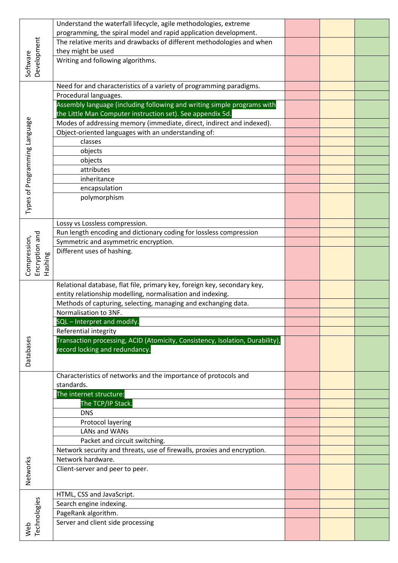| Development                   | Understand the waterfall lifecycle, agile methodologies, extreme              |  |  |
|-------------------------------|-------------------------------------------------------------------------------|--|--|
|                               | programming, the spiral model and rapid application development.              |  |  |
|                               | The relative merits and drawbacks of different methodologies and when         |  |  |
|                               | they might be used                                                            |  |  |
| Software                      | Writing and following algorithms.                                             |  |  |
|                               |                                                                               |  |  |
|                               | Need for and characteristics of a variety of programming paradigms.           |  |  |
|                               | Procedural languages.                                                         |  |  |
|                               | Assembly language (including following and writing simple programs with       |  |  |
|                               | the Little Man Computer instruction set). See appendix 5d.                    |  |  |
|                               | Modes of addressing memory (immediate, direct, indirect and indexed).         |  |  |
|                               | Object-oriented languages with an understanding of:                           |  |  |
|                               | classes                                                                       |  |  |
|                               | objects                                                                       |  |  |
|                               | objects                                                                       |  |  |
|                               | attributes                                                                    |  |  |
|                               | inheritance                                                                   |  |  |
|                               | encapsulation                                                                 |  |  |
| Types of Programming Language | polymorphism                                                                  |  |  |
|                               |                                                                               |  |  |
|                               | Lossy vs Lossless compression.                                                |  |  |
|                               | Run length encoding and dictionary coding for lossless compression            |  |  |
| Encryption and                | Symmetric and asymmetric encryption.                                          |  |  |
| Compression,                  | Different uses of hashing.                                                    |  |  |
| Hashing                       |                                                                               |  |  |
|                               |                                                                               |  |  |
|                               |                                                                               |  |  |
|                               | Relational database, flat file, primary key, foreign key, secondary key,      |  |  |
|                               | entity relationship modelling, normalisation and indexing.                    |  |  |
|                               |                                                                               |  |  |
|                               | Methods of capturing, selecting, managing and exchanging data.                |  |  |
|                               | Normalisation to 3NF.                                                         |  |  |
|                               | SQL - Interpret and modify.                                                   |  |  |
|                               | Referential integrity                                                         |  |  |
|                               | Transaction processing, ACID (Atomicity, Consistency, Isolation, Durability), |  |  |
|                               | record locking and redundancy.                                                |  |  |
| Databases                     |                                                                               |  |  |
|                               |                                                                               |  |  |
|                               | Characteristics of networks and the importance of protocols and<br>standards. |  |  |
|                               | The internet structure:                                                       |  |  |
|                               | The TCP/IP Stack.                                                             |  |  |
|                               | <b>DNS</b>                                                                    |  |  |
|                               | <b>Protocol layering</b>                                                      |  |  |
|                               | LANs and WANs                                                                 |  |  |
|                               | Packet and circuit switching.                                                 |  |  |
|                               | Network security and threats, use of firewalls, proxies and encryption.       |  |  |
|                               | Network hardware.                                                             |  |  |
|                               | Client-server and peer to peer.                                               |  |  |
|                               |                                                                               |  |  |
| Networks                      |                                                                               |  |  |
|                               | HTML, CSS and JavaScript.                                                     |  |  |
|                               | Search engine indexing.                                                       |  |  |
|                               | PageRank algorithm.                                                           |  |  |
| Web<br>Technologies           | Server and client side processing                                             |  |  |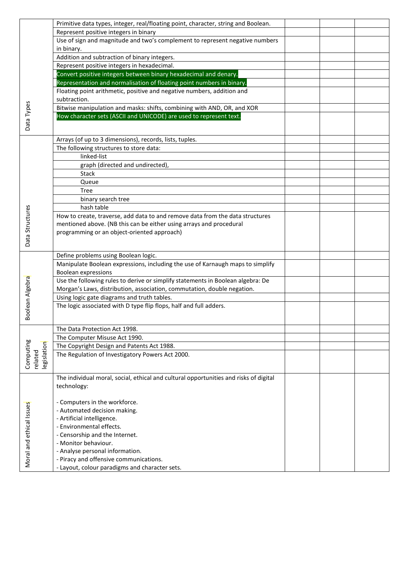|                                     | Primitive data types, integer, real/floating point, character, string and Boolean.       |  |  |
|-------------------------------------|------------------------------------------------------------------------------------------|--|--|
|                                     | Represent positive integers in binary                                                    |  |  |
|                                     | Use of sign and magnitude and two's complement to represent negative numbers             |  |  |
|                                     |                                                                                          |  |  |
|                                     | in binary.<br>Addition and subtraction of binary integers.                               |  |  |
|                                     |                                                                                          |  |  |
|                                     | Represent positive integers in hexadecimal.                                              |  |  |
|                                     | Convert positive integers between binary hexadecimal and denary.                         |  |  |
|                                     | Representation and normalisation of floating point numbers in binary                     |  |  |
|                                     | Floating point arithmetic, positive and negative numbers, addition and                   |  |  |
|                                     | subtraction.                                                                             |  |  |
| Data Types                          | Bitwise manipulation and masks: shifts, combining with AND, OR, and XOR                  |  |  |
|                                     | How character sets (ASCII and UNICODE) are used to represent text.                       |  |  |
|                                     |                                                                                          |  |  |
|                                     | Arrays (of up to 3 dimensions), records, lists, tuples.                                  |  |  |
|                                     | The following structures to store data:                                                  |  |  |
|                                     | linked-list                                                                              |  |  |
|                                     | graph (directed and undirected),                                                         |  |  |
|                                     |                                                                                          |  |  |
|                                     | <b>Stack</b>                                                                             |  |  |
|                                     | Queue                                                                                    |  |  |
|                                     | <b>Tree</b>                                                                              |  |  |
|                                     | binary search tree                                                                       |  |  |
| Data Structures                     | hash table                                                                               |  |  |
|                                     | How to create, traverse, add data to and remove data from the data structures            |  |  |
|                                     | mentioned above. (NB this can be either using arrays and procedural                      |  |  |
|                                     | programming or an object-oriented approach)                                              |  |  |
|                                     |                                                                                          |  |  |
|                                     | Define problems using Boolean logic.                                                     |  |  |
|                                     | Manipulate Boolean expressions, including the use of Karnaugh maps to simplify           |  |  |
|                                     | <b>Boolean expressions</b>                                                               |  |  |
|                                     | Use the following rules to derive or simplify statements in Boolean algebra: De          |  |  |
|                                     | Morgan's Laws, distribution, association, commutation, double negation.                  |  |  |
|                                     | Using logic gate diagrams and truth tables.                                              |  |  |
|                                     | The logic associated with D type flip flops, half and full adders.                       |  |  |
| Boolean Algebra                     |                                                                                          |  |  |
|                                     |                                                                                          |  |  |
|                                     | The Data Protection Act 1998.                                                            |  |  |
|                                     | The Computer Misuse Act 1990.                                                            |  |  |
|                                     | The Copyright Design and Patents Act 1988.                                               |  |  |
| Computing<br>legislation<br>related | The Regulation of Investigatory Powers Act 2000.                                         |  |  |
|                                     |                                                                                          |  |  |
|                                     |                                                                                          |  |  |
|                                     | The individual moral, social, ethical and cultural opportunities and risks of digital    |  |  |
|                                     | technology:                                                                              |  |  |
|                                     |                                                                                          |  |  |
|                                     | - Computers in the workforce.                                                            |  |  |
| Moral and ethical Issues            | - Automated decision making.                                                             |  |  |
|                                     | - Artificial intelligence.                                                               |  |  |
|                                     | - Environmental effects.                                                                 |  |  |
|                                     | - Censorship and the Internet.                                                           |  |  |
|                                     |                                                                                          |  |  |
|                                     | - Monitor behaviour.                                                                     |  |  |
|                                     | - Analyse personal information.                                                          |  |  |
|                                     | - Piracy and offensive communications.<br>- Layout, colour paradigms and character sets. |  |  |